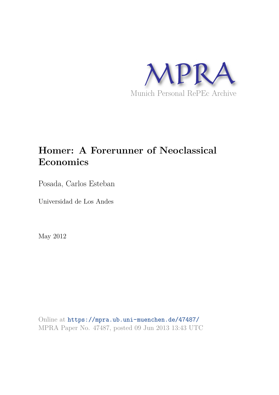

# **Homer: A Forerunner of Neoclassical Economics**

Posada, Carlos Esteban

Universidad de Los Andes

May 2012

Online at https://mpra.ub.uni-muenchen.de/47487/ MPRA Paper No. 47487, posted 09 Jun 2013 13:43 UTC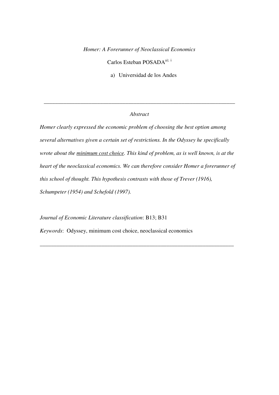*Homer: A Forerunner of Neoclassical Economics* 

Carlos Esteban POSADA<sup>a); i</sup>

a) Universidad de los Andes

## *Abstract*

\_\_\_\_\_\_\_\_\_\_\_\_\_\_\_\_\_\_\_\_\_\_\_\_\_\_\_\_\_\_\_\_\_\_\_\_\_\_\_\_\_\_\_\_\_\_\_\_\_\_\_\_\_\_\_\_\_\_\_\_\_\_\_\_\_\_\_\_

*Homer clearly expressed the economic problem of choosing the best option among several alternatives given a certain set of restrictions. In the Odyssey he specifically wrote about the minimum cost choice. This kind of problem, as is well known, is at the heart of the neoclassical economics. We can therefore consider Homer a forerunner of this school of thought. This hypothesis contrasts with those of Trever (1916), Schumpeter (1954) and Schefold (1997).* 

\_\_\_\_\_\_\_\_\_\_\_\_\_\_\_\_\_\_\_\_\_\_\_\_\_\_\_\_\_\_\_\_\_\_\_\_\_\_\_\_\_\_\_\_\_\_\_\_\_\_\_\_\_\_\_\_\_\_\_\_\_\_\_\_\_\_\_\_\_

*Journal of Economic Literature classification*: B13; B31

*Keywords*: Odyssey, minimum cost choice, neoclassical economics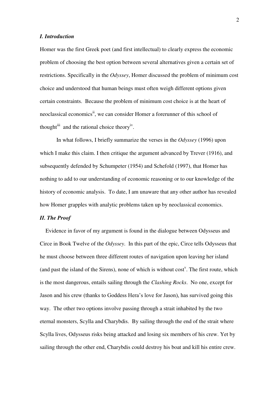#### *I. Introduction*

Homer was the first Greek poet (and first intellectual) to clearly express the economic problem of choosing the best option between several alternatives given a certain set of restrictions. Specifically in the *Odyssey*, Homer discussed the problem of minimum cost choice and understood that human beings must often weigh different options given certain constraints. Because the problem of minimum cost choice is at the heart of neoclassical economics<sup>ii</sup>, we can consider Homer a forerunner of this school of thought<sup>iii</sup> and the rational choice theory<sup>iv</sup>.

 In what follows, I briefly summarize the verses in the *Odyssey* (1996) upon which I make this claim. I then critique the argument advanced by Trever (1916), and subsequently defended by Schumpeter (1954) and Schefold (1997), that Homer has nothing to add to our understanding of economic reasoning or to our knowledge of the history of economic analysis. To date, I am unaware that any other author has revealed how Homer grapples with analytic problems taken up by neoclassical economics.

## *II. The Proof*

 Evidence in favor of my argument is found in the dialogue between Odysseus and Circe in Book Twelve of the *Odyssey*. In this part of the epic, Circe tells Odysseus that he must choose between three different routes of navigation upon leaving her island (and past the island of the Sirens), none of which is without  $cost<sup>v</sup>$ . The first route, which is the most dangerous, entails sailing through the *Clashing Rocks*. No one, except for Jason and his crew (thanks to Goddess Hera's love for Jason), has survived going this way. The other two options involve passing through a strait inhabited by the two eternal monsters, Scylla and Charybdis. By sailing through the end of the strait where Scylla lives, Odysseus risks being attacked and losing six members of his crew. Yet by sailing through the other end, Charybdis could destroy his boat and kill his entire crew.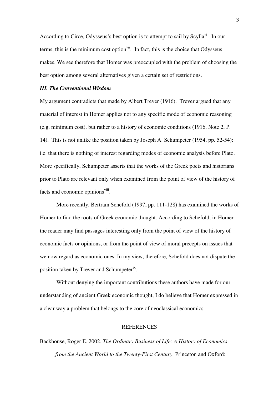According to Circe, Odysseus's best option is to attempt to sail by Scylla<sup>vi</sup>. In our terms, this is the minimum cost option<sup>vii</sup>. In fact, this is the choice that Odysseus makes. We see therefore that Homer was preoccupied with the problem of choosing the best option among several alternatives given a certain set of restrictions.

#### *III. The Conventional Wisdom*

My argument contradicts that made by Albert Trever (1916). Trever argued that any material of interest in Homer applies not to any specific mode of economic reasoning (e.g. minimum cost), but rather to a history of economic conditions (1916, Note 2, P. 14). This is not unlike the position taken by Joseph A. Schumpeter (1954, pp. 52-54): i.e. that there is nothing of interest regarding modes of economic analysis before Plato. More specifically, Schumpeter asserts that the works of the Greek poets and historians prior to Plato are relevant only when examined from the point of view of the history of facts and economic opinions<sup>viii</sup>.

 More recently, Bertram Schefold (1997, pp. 111-128) has examined the works of Homer to find the roots of Greek economic thought. According to Schefold, in Homer the reader may find passages interesting only from the point of view of the history of economic facts or opinions, or from the point of view of moral precepts on issues that we now regard as economic ones. In my view, therefore, Schefold does not dispute the position taken by Trever and Schumpeter<sup>ix</sup>.

 Without denying the important contributions these authors have made for our understanding of ancient Greek economic thought, I do believe that Homer expressed in a clear way a problem that belongs to the core of neoclassical economics.

### **REFERENCES**

Backhouse, Roger E. 2002. *The Ordinary Business of Life: A History of Economics from the Ancient World to the Twenty-First Century*. Princeton and Oxford: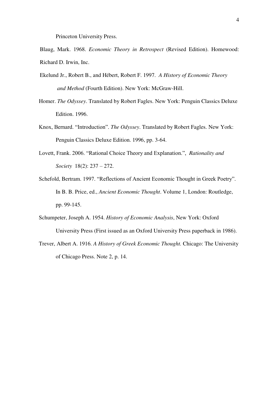Princeton University Press.

- Blaug, Mark. 1968. *Economic Theory in Retrospect* (Revised Edition). Homewood: Richard D. Irwin, Inc.
- Ekelund Jr., Robert B., and Hébert, Robert F. 1997. *A History of Economic Theory and Method* (Fourth Edition). New York: McGraw-Hill.
- Homer. *The Odyssey*. Translated by Robert Fagles. New York: Penguin Classics Deluxe Edition. 1996.
- Knox, Bernard. "Introduction". *The Odyssey*. Translated by Robert Fagles. New York: Penguin Classics Deluxe Edition. 1996, pp. 3-64.
- Lovett, Frank. 2006. "Rational Choice Theory and Explanation.", *Rationality and Society* 18(2): 237 – 272.
- Schefold, Bertram. 1997. "Reflections of Ancient Economic Thought in Greek Poetry". In B. B. Price, ed., *Ancient Economic Thought*. Volume 1, London: Routledge, pp. 99-145.
- Schumpeter, Joseph A. 1954. *History of Economic Analysis*, New York: Oxford University Press (First issued as an Oxford University Press paperback in 1986).
- Trever, Albert A. 1916. *A History of Greek Economic Thought.* Chicago: The University of Chicago Press. Note 2, p. 14.